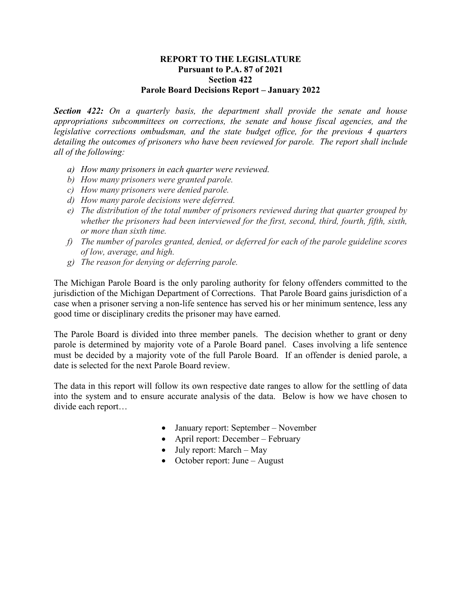## **REPORT TO THE LEGISLATURE Pursuant to P.A. 87 of 2021 Section 422 Parole Board Decisions Report – January 2022**

*Section 422: On a quarterly basis, the department shall provide the senate and house appropriations subcommittees on corrections, the senate and house fiscal agencies, and the legislative corrections ombudsman, and the state budget office, for the previous 4 quarters detailing the outcomes of prisoners who have been reviewed for parole. The report shall include all of the following:* 

- *a) How many prisoners in each quarter were reviewed.*
- *b) How many prisoners were granted parole.*
- *c) How many prisoners were denied parole.*
- *d) How many parole decisions were deferred.*
- *e) The distribution of the total number of prisoners reviewed during that quarter grouped by whether the prisoners had been interviewed for the first, second, third, fourth, fifth, sixth, or more than sixth time.*
- *f) The number of paroles granted, denied, or deferred for each of the parole guideline scores of low, average, and high.*
- *g) The reason for denying or deferring parole.*

The Michigan Parole Board is the only paroling authority for felony offenders committed to the jurisdiction of the Michigan Department of Corrections. That Parole Board gains jurisdiction of a case when a prisoner serving a non-life sentence has served his or her minimum sentence, less any good time or disciplinary credits the prisoner may have earned.

The Parole Board is divided into three member panels. The decision whether to grant or deny parole is determined by majority vote of a Parole Board panel. Cases involving a life sentence must be decided by a majority vote of the full Parole Board. If an offender is denied parole, a date is selected for the next Parole Board review.

The data in this report will follow its own respective date ranges to allow for the settling of data into the system and to ensure accurate analysis of the data. Below is how we have chosen to divide each report…

- January report: September November
- April report: December February
- July report: March May
- October report: June August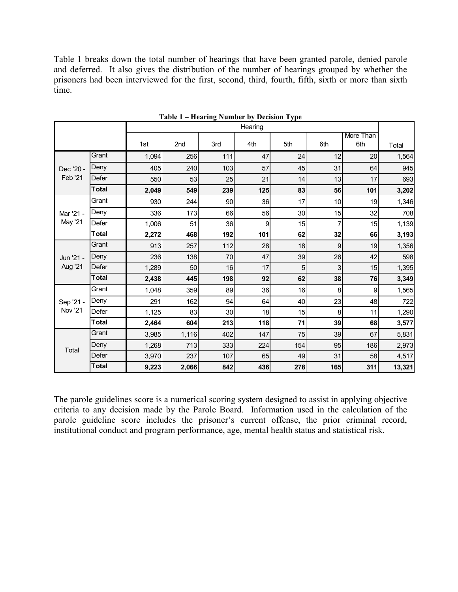Table 1 breaks down the total number of hearings that have been granted parole, denied parole and deferred. It also gives the distribution of the number of hearings grouped by whether the prisoners had been interviewed for the first, second, third, fourth, fifth, sixth or more than sixth time.

|                             |              | Hearing |       |     |     |     |     |                         |        |
|-----------------------------|--------------|---------|-------|-----|-----|-----|-----|-------------------------|--------|
|                             |              | 1st     | 2nd   | 3rd | 4th | 5th | 6th | <b>More Than</b><br>6th | Total  |
| Dec '20 -<br>Feb '21        | Grant        | 1,094   | 256   | 111 | 47  | 24  | 12  | 20                      | 1,564  |
|                             | Deny         | 405     | 240   | 103 | 57  | 45  | 31  | 64                      | 945    |
|                             | Defer        | 550     | 53    | 25  | 21  | 14  | 13  | 17                      | 693    |
|                             | <b>Total</b> | 2,049   | 549   | 239 | 125 | 83  | 56  | 101                     | 3,202  |
| Mar '21 -<br>May '21        | Grant        | 930     | 244   | 90  | 36  | 17  | 10  | 19                      | 1,346  |
|                             | Deny         | 336     | 173   | 66  | 56  | 30  | 15  | 32                      | 708    |
|                             | Defer        | 1,006   | 51    | 36  | 9   | 15  | 7   | 15                      | 1,139  |
|                             | <b>Total</b> | 2,272   | 468   | 192 | 101 | 62  | 32  | 66                      | 3,193  |
| Jun '21 -                   | Grant        | 913     | 257   | 112 | 28  | 18  | 9   | 19                      | 1,356  |
|                             | Deny         | 236     | 138   | 70  | 47  | 39  | 26  | 42                      | 598    |
| Aug '21                     | Defer        | 1,289   | 50    | 16  | 17  | 5   | 3   | 15                      | 1,395  |
|                             | <b>Total</b> | 2,438   | 445   | 198 | 92  | 62  | 38  | 76                      | 3,349  |
| Sep '21 -<br><b>Nov '21</b> | Grant        | 1,048   | 359   | 89  | 36  | 16  | 8   | 9                       | 1,565  |
|                             | Deny         | 291     | 162   | 94  | 64  | 40  | 23  | 48                      | 722    |
|                             | Defer        | 1,125   | 83    | 30  | 18  | 15  | 8   | 11                      | 1,290  |
|                             | <b>Total</b> | 2,464   | 604   | 213 | 118 | 71  | 39  | 68                      | 3,577  |
| Total                       | Grant        | 3,985   | 1,116 | 402 | 147 | 75  | 39  | 67                      | 5,831  |
|                             | Deny         | 1,268   | 713   | 333 | 224 | 154 | 95  | 186                     | 2,973  |
|                             | Defer        | 3,970   | 237   | 107 | 65  | 49  | 31  | 58                      | 4,517  |
|                             | <b>Total</b> | 9,223   | 2,066 | 842 | 436 | 278 | 165 | 311                     | 13,321 |

**Table 1 – Hearing Number by Decision Type**

The parole guidelines score is a numerical scoring system designed to assist in applying objective criteria to any decision made by the Parole Board. Information used in the calculation of the parole guideline score includes the prisoner's current offense, the prior criminal record, institutional conduct and program performance, age, mental health status and statistical risk.